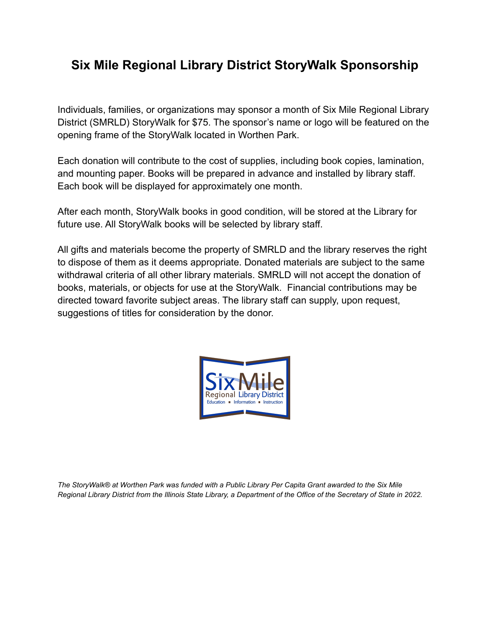## **Six Mile Regional Library District StoryWalk Sponsorship**

Individuals, families, or organizations may sponsor a month of Six Mile Regional Library District (SMRLD) StoryWalk for \$75. The sponsor's name or logo will be featured on the opening frame of the StoryWalk located in Worthen Park.

Each donation will contribute to the cost of supplies, including book copies, lamination, and mounting paper. Books will be prepared in advance and installed by library staff. Each book will be displayed for approximately one month.

After each month, StoryWalk books in good condition, will be stored at the Library for future use. All StoryWalk books will be selected by library staff.

All gifts and materials become the property of SMRLD and the library reserves the right to dispose of them as it deems appropriate. Donated materials are subject to the same withdrawal criteria of all other library materials. SMRLD will not accept the donation of books, materials, or objects for use at the StoryWalk. Financial contributions may be directed toward favorite subject areas. The library staff can supply, upon request, suggestions of titles for consideration by the donor.



*The StoryWalk® at Worthen Park was funded with a Public Library Per Capita Grant awarded to the Six Mile Regional Library District from the Illinois State Library, a Department of the Office of the Secretary of State in 2022.*